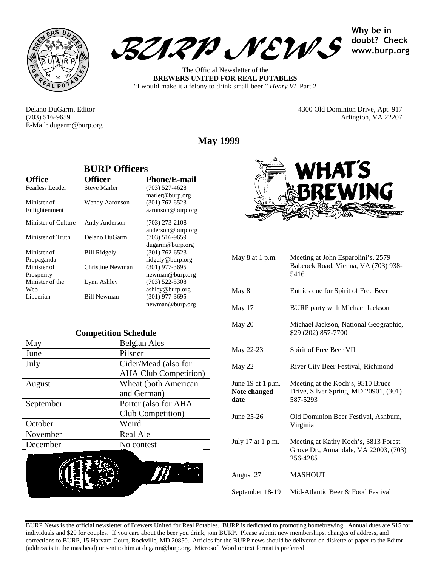



The Official Newsletter of the **BREWERS UNITED FOR REAL POTABLES** "I would make it a felony to drink small beer." *Henry VI* Part 2

Why be in doubt? Check www.burp.org

Delano DuGarm, Editor 4300 Old Dominion Drive, Apt. 917 E-Mail: dugarm@burp.org

(703) 516-9659 Arlington, VA 22207

**May 1999**

|                              | DUNI VIIIUTIS       |                                         |
|------------------------------|---------------------|-----------------------------------------|
| <b>Office</b>                | <b>Officer</b>      | <b>Phone/E-mail</b>                     |
| <b>Fearless Leader</b>       | <b>Steve Marler</b> | $(703)$ 527-4628<br>marler@burp.org     |
| Minister of<br>Enlightenment | Wendy Aaronson      | $(301) 762 - 6523$<br>aaronson@burp.org |
| Minister of Culture          | Andy Anderson       | $(703)$ 273-2108<br>anderson@burp.org   |
| Minister of Truth            | Delano DuGarm       | $(703)$ 516-9659<br>dugarm@burp.org     |
| Minister of<br>Propaganda    | <b>Bill Ridgely</b> | $(301) 762 - 6523$<br>ridgely@burp.org  |
| Minister of<br>Prosperity    | Christine Newman    | $(301)$ 977-3695<br>newman@burp.org     |
| Minister of the<br>Web       | Lynn Ashley         | $(703)$ 522-5308<br>ashley@burp.org     |
| Libeerian                    | <b>Bill Newman</b>  | $(301)$ 977-3695<br>newman@burp.org     |

**BURP Officers**

| <b>Competition Schedule</b> |                              |  |
|-----------------------------|------------------------------|--|
| May                         | <b>Belgian Ales</b>          |  |
| June                        | Pilsner                      |  |
| July                        | Cider/Mead (also for         |  |
|                             | <b>AHA Club Competition)</b> |  |
| August                      | Wheat (both American         |  |
|                             | and German)                  |  |
| September                   | Porter (also for AHA         |  |
|                             | Club Competition)            |  |
| October                     | Weird                        |  |
| November                    | Real Ale                     |  |
| December                    | No contest                   |  |





| May 8 at 1 p.m.                           | Meeting at John Esparolini's, 2579<br>Babcock Road, Vienna, VA (703) 938-<br>5416         |
|-------------------------------------------|-------------------------------------------------------------------------------------------|
| May 8                                     | Entries due for Spirit of Free Beer                                                       |
| May 17                                    | <b>BURP</b> party with Michael Jackson                                                    |
| May 20                                    | Michael Jackson, National Geographic,<br>\$29 (202) 857-7700                              |
| May 22-23                                 | Spirit of Free Beer VII                                                                   |
| May 22                                    | River City Beer Festival, Richmond                                                        |
| June 19 at 1 p.m.<br>Note changed<br>date | Meeting at the Koch's, 9510 Bruce<br>Drive, Silver Spring, MD 20901, (301)<br>587-5293    |
| June 25-26                                | Old Dominion Beer Festival, Ashburn,<br>Virginia                                          |
| July 17 at 1 p.m.                         | Meeting at Kathy Koch's, 3813 Forest<br>Grove Dr., Annandale, VA 22003, (703)<br>256-4285 |
| August 27                                 | <b>MASHOUT</b>                                                                            |
| September 18-19                           | Mid-Atlantic Beer & Food Festival                                                         |

BURP News is the official newsletter of Brewers United for Real Potables. BURP is dedicated to promoting homebrewing. Annual dues are \$15 for individuals and \$20 for couples. If you care about the beer you drink, join BURP. Please submit new memberships, changes of address, and corrections to BURP, 15 Harvard Court, Rockville, MD 20850. Articles for the BURP news should be delivered on diskette or paper to the Editor (address is in the masthead) or sent to him at dugarm@burp.org. Microsoft Word or text format is preferred.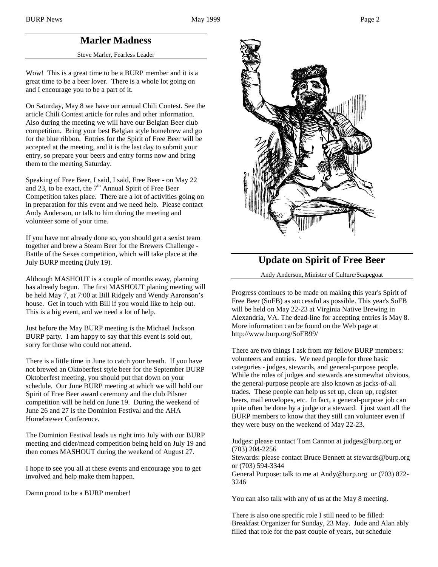## **Marler Madness**

Steve Marler, Fearless Leader

Wow! This is a great time to be a BURP member and it is a great time to be a beer lover. There is a whole lot going on and I encourage you to be a part of it.

On Saturday, May 8 we have our annual Chili Contest. See the article Chili Contest article for rules and other information. Also during the meeting we will have our Belgian Beer club competition. Bring your best Belgian style homebrew and go for the blue ribbon. Entries for the Spirit of Free Beer will be accepted at the meeting, and it is the last day to submit your entry, so prepare your beers and entry forms now and bring them to the meeting Saturday.

Speaking of Free Beer, I said, I said, Free Beer - on May 22 and 23, to be exact, the  $7<sup>th</sup>$  Annual Spirit of Free Beer Competition takes place. There are a lot of activities going on in preparation for this event and we need help. Please contact Andy Anderson, or talk to him during the meeting and volunteer some of your time.

If you have not already done so, you should get a sexist team together and brew a Steam Beer for the Brewers Challenge - Battle of the Sexes competition, which will take place at the July BURP meeting (July 19).

Although MASHOUT is a couple of months away, planning has already begun. The first MASHOUT planing meeting will be held May 7, at 7:00 at Bill Ridgely and Wendy Aaronson's house. Get in touch with Bill if you would like to help out. This is a big event, and we need a lot of help.

Just before the May BURP meeting is the Michael Jackson BURP party. I am happy to say that this event is sold out, sorry for those who could not attend.

There is a little time in June to catch your breath. If you have not brewed an Oktoberfest style beer for the September BURP Oktoberfest meeting, you should put that down on your schedule. Our June BURP meeting at which we will hold our Spirit of Free Beer award ceremony and the club Pilsner competition will be held on June 19. During the weekend of June 26 and 27 is the Dominion Festival and the AHA Homebrewer Conference.

The Dominion Festival leads us right into July with our BURP meeting and cider/mead competition being held on July 19 and then comes MASHOUT during the weekend of August 27.

I hope to see you all at these events and encourage you to get involved and help make them happen.

Damn proud to be a BURP member!



## **Update on Spirit of Free Beer**

Andy Anderson, Minister of Culture/Scapegoat

Progress continues to be made on making this year's Spirit of Free Beer (SoFB) as successful as possible. This year's SoFB will be held on May 22-23 at Virginia Native Brewing in Alexandria, VA. The dead-line for accepting entries is May 8. More information can be found on the Web page at http://www.burp.org/SoFB99/

There are two things I ask from my fellow BURP members: volunteers and entries. We need people for three basic categories - judges, stewards, and general-purpose people. While the roles of judges and stewards are somewhat obvious, the general-purpose people are also known as jacks-of-all trades. These people can help us set up, clean up, register beers, mail envelopes, etc. In fact, a general-purpose job can quite often be done by a judge or a steward. I just want all the BURP members to know that they still can volunteer even if they were busy on the weekend of May 22-23.

Judges: please contact Tom Cannon at judges@burp.org or (703) 204-2256

Stewards: please contact Bruce Bennett at stewards@burp.org or (703) 594-3344

General Purpose: talk to me at Andy@burp.org or (703) 872- 3246

You can also talk with any of us at the May 8 meeting.

There is also one specific role I still need to be filled: Breakfast Organizer for Sunday, 23 May. Jude and Alan ably filled that role for the past couple of years, but schedule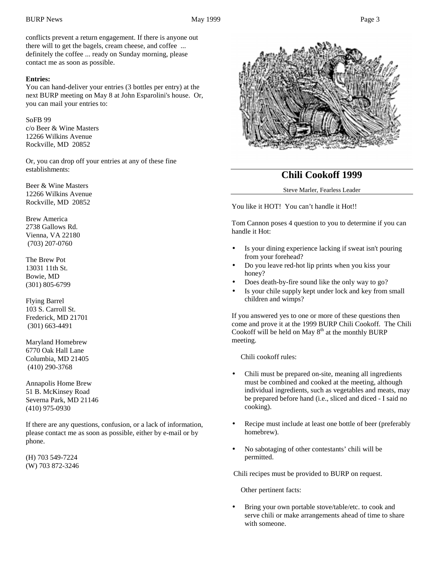conflicts prevent a return engagement. If there is anyone out there will to get the bagels, cream cheese, and coffee ... definitely the coffee ... ready on Sunday morning, please contact me as soon as possible.

### **Entries:**

You can hand-deliver your entries (3 bottles per entry) at the next BURP meeting on May 8 at John Esparolini's house. Or, you can mail your entries to:

### SoFB 99

c/o Beer & Wine Masters 12266 Wilkins Avenue Rockville, MD 20852

Or, you can drop off your entries at any of these fine establishments:

Beer & Wine Masters 12266 Wilkins Avenue Rockville, MD 20852

Brew America 2738 Gallows Rd. Vienna, VA 22180 (703) 207-0760

The Brew Pot 13031 11th St. Bowie, MD (301) 805-6799

Flying Barrel 103 S. Carroll St. Frederick, MD 21701 (301) 663-4491

Maryland Homebrew 6770 Oak Hall Lane Columbia, MD 21405 (410) 290-3768

Annapolis Home Brew 51 B. McKinsey Road Severna Park, MD 21146 (410) 975-0930

If there are any questions, confusion, or a lack of information, please contact me as soon as possible, either by e-mail or by phone.

(H) 703 549-7224 (W) 703 872-3246



## **Chili Cookoff 1999**

#### Steve Marler, Fearless Leader

You like it HOT! You can't handle it Hot!!

Tom Cannon poses 4 question to you to determine if you can handle it Hot:

- Is your dining experience lacking if sweat isn't pouring from your forehead?
- Do you leave red-hot lip prints when you kiss your honey?
- Does death-by-fire sound like the only way to go?
- Is your chile supply kept under lock and key from small children and wimps?

If you answered yes to one or more of these questions then come and prove it at the 1999 BURP Chili Cookoff. The Chili Cookoff will be held on May  $8<sup>th</sup>$  at the monthly BURP meeting.

Chili cookoff rules:

- Chili must be prepared on-site, meaning all ingredients must be combined and cooked at the meeting, although individual ingredients, such as vegetables and meats, may be prepared before hand (i.e., sliced and diced - I said no cooking).
- Recipe must include at least one bottle of beer (preferably homebrew).
- No sabotaging of other contestants' chili will be permitted.

Chili recipes must be provided to BURP on request.

Other pertinent facts:

Bring your own portable stove/table/etc. to cook and serve chili or make arrangements ahead of time to share with someone.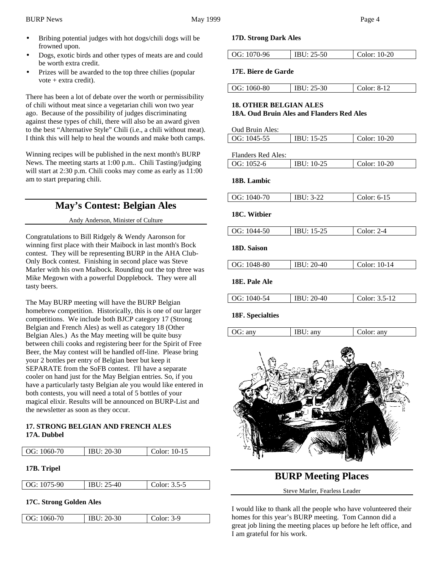- Bribing potential judges with hot dogs/chili dogs will be frowned upon.
- Dogs, exotic birds and other types of meats are and could be worth extra credit.
- Prizes will be awarded to the top three chilies (popular vote + extra credit).

There has been a lot of debate over the worth or permissibility of chili without meat since a vegetarian chili won two year ago. Because of the possibility of judges discriminating against these types of chili, there will also be an award given to the best "Alternative Style" Chili (i.e., a chili without meat). I think this will help to heal the wounds and make both camps.

Winning recipes will be published in the next month's BURP News. The meeting starts at 1:00 p.m.. Chili Tasting/judging will start at 2:30 p.m. Chili cooks may come as early as 11:00 am to start preparing chili.

# **May's Contest: Belgian Ales**

Andy Anderson, Minister of Culture

Congratulations to Bill Ridgely & Wendy Aaronson for winning first place with their Maibock in last month's Bock contest. They will be representing BURP in the AHA Club-Only Bock contest. Finishing in second place was Steve Marler with his own Maibock. Rounding out the top three was Mike Megown with a powerful Dopplebock. They were all tasty beers.

The May BURP meeting will have the BURP Belgian homebrew competition. Historically, this is one of our larger competitions. We include both BJCP category 17 (Strong Belgian and French Ales) as well as category 18 (Other Belgian Ales.) As the May meeting will be quite busy between chili cooks and registering beer for the Spirit of Free Beer, the May contest will be handled off-line. Please bring your 2 bottles per entry of Belgian beer but keep it SEPARATE from the SoFB contest. I'll have a separate cooler on hand just for the May Belgian entries. So, if you have a particularly tasty Belgian ale you would like entered in both contests, you will need a total of 5 bottles of your magical elixir. Results will be announced on BURP-List and the newsletter as soon as they occur.

### **17. STRONG BELGIAN AND FRENCH ALES 17A. Dubbel**

| OG: 1060-70             | IBU: 20-30         | Color: 10-15   |
|-------------------------|--------------------|----------------|
| 17B. Tripel             |                    |                |
| OG: 1075-90             | <b>IBU</b> : 25-40 | Color: $3.5-5$ |
| 17C. Strong Golden Ales |                    |                |

| 20-30<br>3-9<br>  OG: 1060-70<br>٦r. |
|--------------------------------------|
|--------------------------------------|

### **17D. Strong Dark Ales**

|--|

### **17E. Biere de Garde**

| OG: 1060-80 | IBU: 25-30 | Color: 8-12 |
|-------------|------------|-------------|

# **18. OTHER BELGIAN ALES**

### **18A. Oud Bruin Ales and Flanders Red Ales**

| Oud Bruin Ales:    |              |              |
|--------------------|--------------|--------------|
| OG: 1045-55        | $IBU: 15-25$ | Color: 10-20 |
|                    |              |              |
| Flanders Red Ales: |              |              |
| OG: 1052-6         | $IBU: 10-25$ | Color: 10-20 |
|                    |              |              |

### **18B. Lambic**

| OG: 1040-70      | <b>IBU</b> : 3-22  | Color: $6-15$ |
|------------------|--------------------|---------------|
| 18C. Witbier     |                    |               |
|                  |                    |               |
| OG: 1044-50      | IBU: 15-25         | Color: $2-4$  |
| 18D. Saison      |                    |               |
| OG: 1048-80      | <b>IBU</b> : 20-40 | Color: 10-14  |
| 18E. Pale Ale    |                    |               |
| OG: 1040-54      | IBU: 20-40         | Color: 3.5-12 |
| 18F. Specialties |                    |               |

# OG: any IBU: any Color: any



## **BURP Meeting Places**

Steve Marler, Fearless Leader

I would like to thank all the people who have volunteered their homes for this year's BURP meeting. Tom Cannon did a great job lining the meeting places up before he left office, and I am grateful for his work.